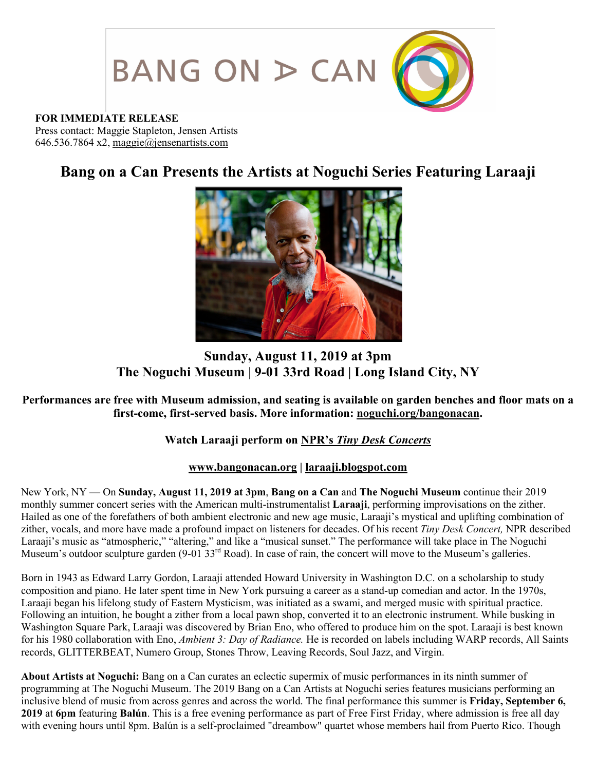

#### **FOR IMMEDIATE RELEASE**

Press contact: Maggie Stapleton, Jensen Artists 646.536.7864 x2, maggie@jensenartists.com

# **Bang on a Can Presents the Artists at Noguchi Series Featuring Laraaji**



## **Sunday, August 11, 2019 at 3pm The Noguchi Museum | 9-01 33rd Road | Long Island City, NY**

## **Performances are free with Museum admission, and seating is available on garden benches and floor mats on a first-come, first-served basis. More information: noguchi.org/bangonacan.**

## **Watch Laraaji perform on NPR's** *Tiny Desk Concerts*

#### **www.bangonacan.org | laraaji.blogspot.com**

New York, NY — On **Sunday, August 11, 2019 at 3pm**, **Bang on a Can** and **The Noguchi Museum** continue their 2019 monthly summer concert series with the American multi-instrumentalist **Laraaji**, performing improvisations on the zither. Hailed as one of the forefathers of both ambient electronic and new age music, Laraaji's mystical and uplifting combination of zither, vocals, and more have made a profound impact on listeners for decades. Of his recent *Tiny Desk Concert,* NPR described Laraaji's music as "atmospheric," "altering," and like a "musical sunset." The performance will take place in The Noguchi Museum's outdoor sculpture garden (9-01 33<sup>rd</sup> Road). In case of rain, the concert will move to the Museum's galleries.

Born in 1943 as Edward Larry Gordon, Laraaji attended Howard University in Washington D.C. on a scholarship to study composition and piano. He later spent time in New York pursuing a career as a stand-up comedian and actor. In the 1970s, Laraaji began his lifelong study of Eastern Mysticism, was initiated as a swami, and merged music with spiritual practice. Following an intuition, he bought a zither from a local pawn shop, converted it to an electronic instrument. While busking in Washington Square Park, Laraaji was discovered by Brian Eno, who offered to produce him on the spot. Laraaji is best known for his 1980 collaboration with Eno, *Ambient 3: Day of Radiance.* He is recorded on labels including WARP records, All Saints records, GLITTERBEAT, Numero Group, Stones Throw, Leaving Records, Soul Jazz, and Virgin.

**About Artists at Noguchi:** Bang on a Can curates an eclectic supermix of music performances in its ninth summer of programming at The Noguchi Museum. The 2019 Bang on a Can Artists at Noguchi series features musicians performing an inclusive blend of music from across genres and across the world. The final performance this summer is **Friday, September 6, 2019** at **6pm** featuring **Balún**. This is a free evening performance as part of Free First Friday, where admission is free all day with evening hours until 8pm. Balún is a self-proclaimed "dreambow" quartet whose members hail from Puerto Rico. Though